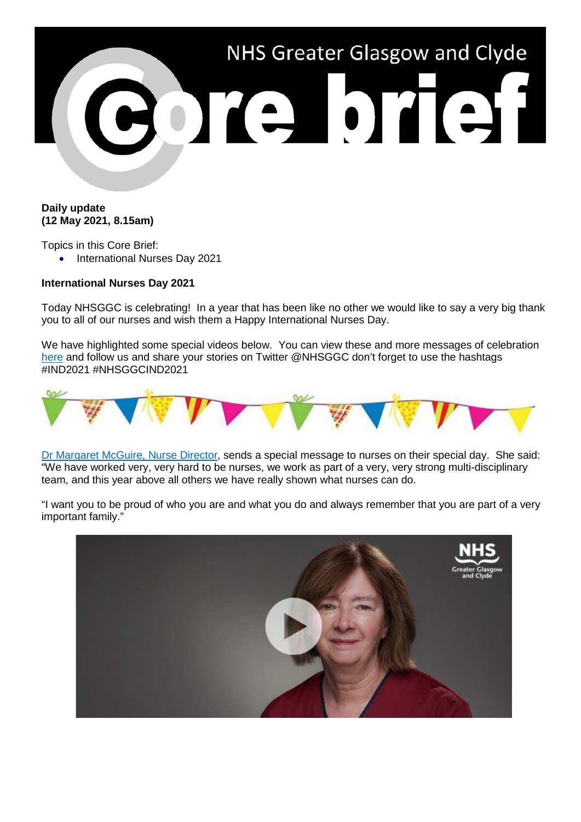

## **Daily update (12 May 2021, 8.15am)**

Topics in this Core Brief:

• International Nurses Day 2021

## **International Nurses Day 2021**

Today NHSGGC is celebrating! In a year that has been like no other we would like to say a very big thank you to all of our nurses and wish them a Happy International Nurses Day.

We have highlighted some special videos below. You can view these and more messages of celebration [here](https://www.nhsggc.org.uk/working-with-us/staff-communications/news/international-nurses-day-2021/) and follow us and share your stories on Twitter @NHSGGC don't forget to use the hashtags #IND2021 #NHSGGCIND2021



[Dr Margaret McGuire, Nurse Director,](https://www.youtube.com/watch?v=ZeqTxUEZUws) sends a special message to nurses on their special day. She said: "We have worked very, very hard to be nurses, we work as part of a very, very strong multi-disciplinary team, and this year above all others we have really shown what nurses can do.

"I want you to be proud of who you are and what you do and always remember that you are part of a very important family."